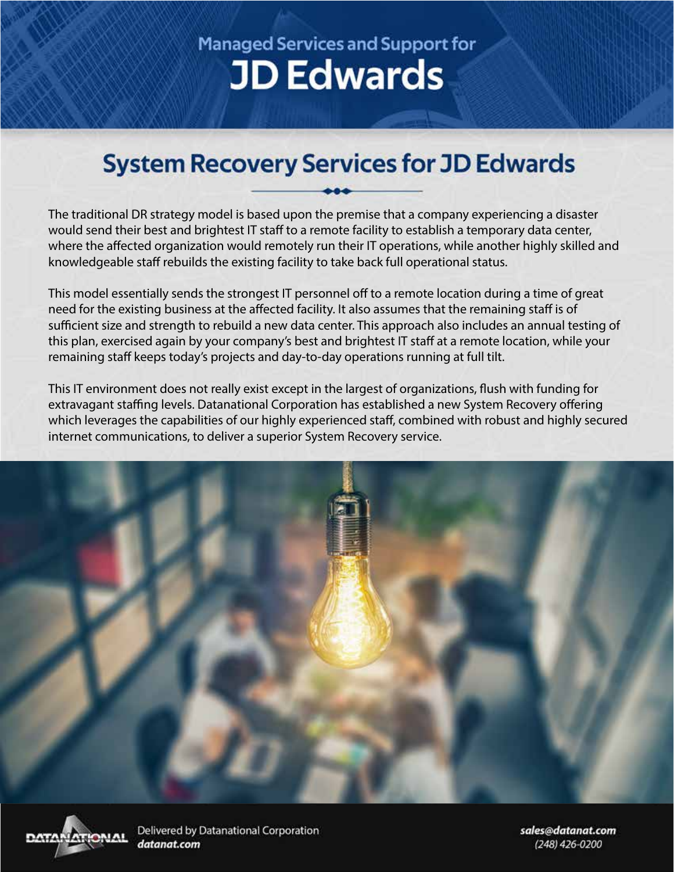## **Managed Services and Support for JD Edwards**

## **System Recovery Services for JD Edwards**

The traditional DR strategy model is based upon the premise that a company experiencing a disaster would send their best and brightest IT staff to a remote facility to establish a temporary data center, where the affected organization would remotely run their IT operations, while another highly skilled and knowledgeable staff rebuilds the existing facility to take back full operational status.

This model essentially sends the strongest IT personnel off to a remote location during a time of great need for the existing business at the affected facility. It also assumes that the remaining staff is of sufficient size and strength to rebuild a new data center. This approach also includes an annual testing of this plan, exercised again by your company's best and brightest IT staff at a remote location, while your remaining staff keeps today's projects and day-to-day operations running at full tilt.

This IT environment does not really exist except in the largest of organizations, flush with funding for extravagant staffing levels. Datanational Corporation has established a new System Recovery offering which leverages the capabilities of our highly experienced staff, combined with robust and highly secured internet communications, to deliver a superior System Recovery service.





Delivered by Datanational Corporation datanat.com

sales@datanat.com (248) 426-0200